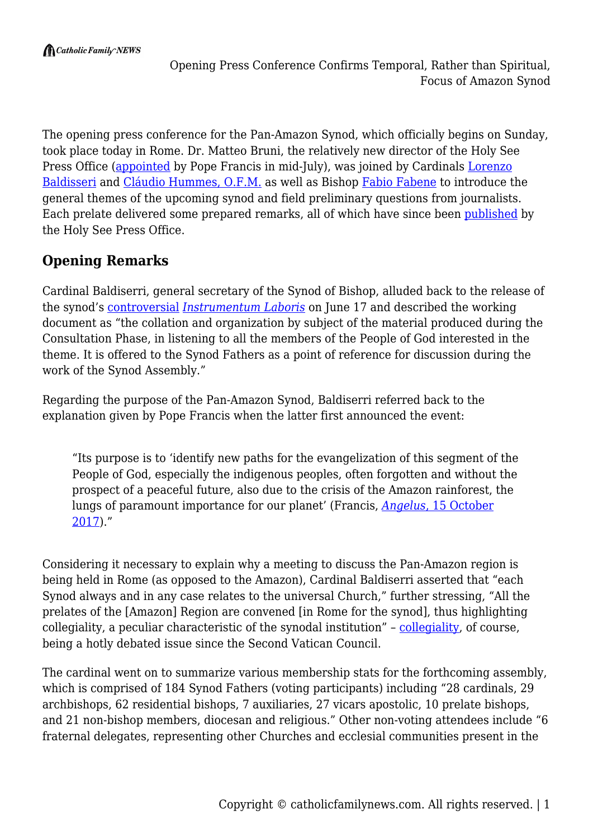The opening press conference for the Pan-Amazon Synod, which officially begins on Sunday, took place today in Rome. Dr. Matteo Bruni, the relatively new director of the Holy See Press Office [\(appointed](https://www.vaticannews.va/en/pope/news/2019-07/pope-francis-appointments-press-office-director-bruni.html) by Pope Francis in mid-July), was joined by Cardinals [Lorenzo](http://www.sinodoamazonico.va/content/sinodoamazonico/en/synod-for-the-amazon/synod-of-bishops/cardinal-lorenzo-baldisseri---secretary-general.html) [Baldisseri](http://www.sinodoamazonico.va/content/sinodoamazonico/en/synod-for-the-amazon/synod-of-bishops/cardinal-lorenzo-baldisseri---secretary-general.html) and [Cláudio Hummes, O.F.M.](https://press.vatican.va/content/salastampa/en/documentation/cardinali_biografie/cardinali_bio_hummes_c.html) as well as Bishop [Fabio Fabene](http://www.synod.va/content/synod/en/general-secretariat/under-secretary.html) to introduce the general themes of the upcoming synod and field preliminary questions from journalists. Each prelate delivered some prepared remarks, all of which have since been [published](http://press.vatican.va/content/salastampa/en/bollettino/pubblico/2019/10/03/191003b.html) by the Holy See Press Office.

# **Opening Remarks**

Cardinal Baldiserri, general secretary of the Synod of Bishop, alluded back to the release of the synod's [controversial](https://catholicfamilynews.com/blog/2019/07/05/amazon-synod-poised-to-wage-total-war-on-catholic-faith-our-resistance-must-be-equally-forceful/) *[Instrumentum Laboris](http://www.sinodoamazonico.va/content/sinodoamazonico/en/documents/pan-amazon-synod--the-working-document-for-the-synod-of-bishops.html)* on June 17 and described the working document as "the collation and organization by subject of the material produced during the Consultation Phase, in listening to all the members of the People of God interested in the theme. It is offered to the Synod Fathers as a point of reference for discussion during the work of the Synod Assembly."

Regarding the purpose of the Pan-Amazon Synod, Baldiserri referred back to the explanation given by Pope Francis when the latter first announced the event:

"Its purpose is to 'identify new paths for the evangelization of this segment of the People of God, especially the indigenous peoples, often forgotten and without the prospect of a peaceful future, also due to the crisis of the Amazon rainforest, the lungs of paramount importance for our planet' (Francis, *[Angelus](http://w2.vatican.va/content/francesco/en/angelus/2017/documents/papa-francesco_angelus_20171015.html)*[, 15 October](http://w2.vatican.va/content/francesco/en/angelus/2017/documents/papa-francesco_angelus_20171015.html) [2017\)](http://w2.vatican.va/content/francesco/en/angelus/2017/documents/papa-francesco_angelus_20171015.html)."

Considering it necessary to explain why a meeting to discuss the Pan-Amazon region is being held in Rome (as opposed to the Amazon), Cardinal Baldiserri asserted that "each Synod always and in any case relates to the universal Church," further stressing, "All the prelates of the [Amazon] Region are convened [in Rome for the synod], thus highlighting collegiality, a peculiar characteristic of the synodal institution" – [collegiality](http://sspx.org/en/what-is-the-problem-with-collegiality-sspx-faq-ep11-video), of course, being a hotly debated issue since the Second Vatican Council.

The cardinal went on to summarize various membership stats for the forthcoming assembly, which is comprised of 184 Synod Fathers (voting participants) including "28 cardinals, 29 archbishops, 62 residential bishops, 7 auxiliaries, 27 vicars apostolic, 10 prelate bishops, and 21 non-bishop members, diocesan and religious." Other non-voting attendees include "6 fraternal delegates, representing other Churches and ecclesial communities present in the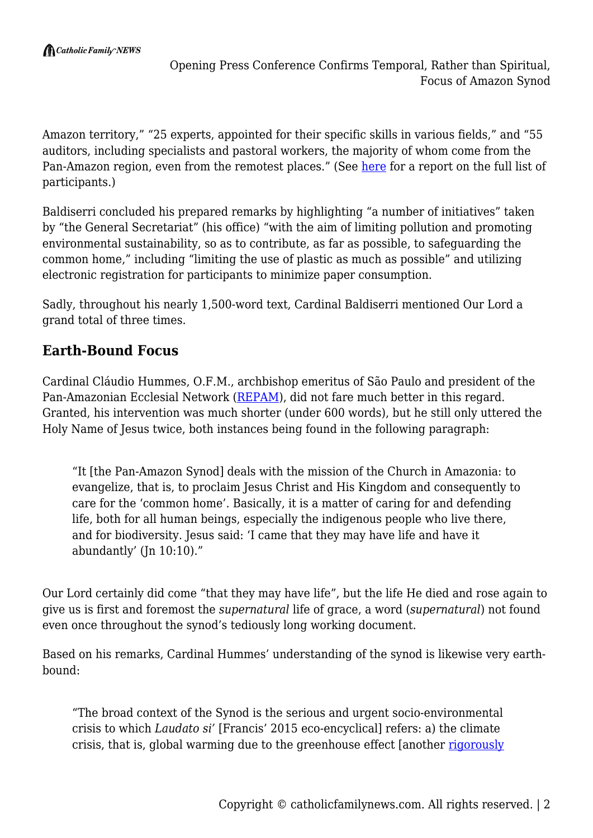Amazon territory," "25 experts, appointed for their specific skills in various fields," and "55 auditors, including specialists and pastoral workers, the majority of whom come from the Pan-Amazon region, even from the remotest places." (See [here](http://www.ncregister.com/blog/edward-pentin/pan-amazonian-synod-participants-include-former-un-head-liberation-theologi) for a report on the full list of participants.)

Baldiserri concluded his prepared remarks by highlighting "a number of initiatives" taken by "the General Secretariat" (his office) "with the aim of limiting pollution and promoting environmental sustainability, so as to contribute, as far as possible, to safeguarding the common home," including "limiting the use of plastic as much as possible" and utilizing electronic registration for participants to minimize paper consumption.

Sadly, throughout his nearly 1,500-word text, Cardinal Baldiserri mentioned Our Lord a grand total of three times.

## **Earth-Bound Focus**

Cardinal Cláudio Hummes, O.F.M., archbishop emeritus of São Paulo and president of the Pan-Amazonian Ecclesial Network [\(REPAM](https://redamazonica.org/en/)), did not fare much better in this regard. Granted, his intervention was much shorter (under 600 words), but he still only uttered the Holy Name of Jesus twice, both instances being found in the following paragraph:

"It [the Pan-Amazon Synod] deals with the mission of the Church in Amazonia: to evangelize, that is, to proclaim Jesus Christ and His Kingdom and consequently to care for the 'common home'. Basically, it is a matter of caring for and defending life, both for all human beings, especially the indigenous people who live there, and for biodiversity. Jesus said: 'I came that they may have life and have it abundantly' (Jn 10:10)."

Our Lord certainly did come "that they may have life", but the life He died and rose again to give us is first and foremost the *supernatural* life of grace, a word (*supernatural*) not found even once throughout the synod's tediously long working document.

Based on his remarks, Cardinal Hummes' understanding of the synod is likewise very earthbound:

"The broad context of the Synod is the serious and urgent socio-environmental crisis to which *Laudato si'* [Francis' 2015 eco-encyclical] refers: a) the climate crisis, that is, global warming due to the greenhouse effect [another [rigorously](https://panamazonsynodwatch.info/articles/commented-news/global-warming-global-myth-part-1/)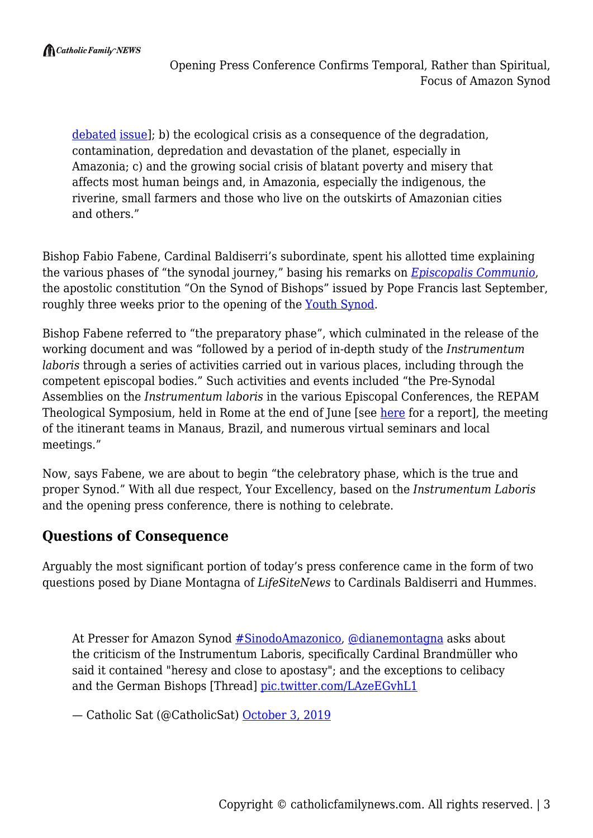[debated](https://panamazonsynodwatch.info/articles/commented-news/global-warming-global-myth-part-2/) [issue](https://panamazonsynodwatch.info/articles/commented-news/global-warming-global-myth-part-3/)]; b) the ecological crisis as a consequence of the degradation, contamination, depredation and devastation of the planet, especially in Amazonia; c) and the growing social crisis of blatant poverty and misery that affects most human beings and, in Amazonia, especially the indigenous, the riverine, small farmers and those who live on the outskirts of Amazonian cities and others."

Bishop Fabio Fabene, Cardinal Baldiserri's subordinate, spent his allotted time explaining the various phases of "the synodal journey," basing his remarks on *[Episcopalis Communio](http://w2.vatican.va/content/francesco/en/apost_constitutions/documents/papa-francesco_costituzione-ap_20180915_episcopalis-communio.html)*, the apostolic constitution "On the Synod of Bishops" issued by Pope Francis last September, roughly three weeks prior to the opening of the [Youth Synod.](https://catholicfamilynews.com/blog/2018/11/05/another-rigged-synod-chronicles-from-rome/)

Bishop Fabene referred to "the preparatory phase", which culminated in the release of the working document and was "followed by a period of in-depth study of the *Instrumentum laboris* through a series of activities carried out in various places, including through the competent episcopal bodies." Such activities and events included "the Pre-Synodal Assemblies on the *Instrumentum laboris* in the various Episcopal Conferences, the REPAM Theological Symposium, held in Rome at the end of June [see [here](http://www.ncregister.com/blog/edward-pentin/pre-amazonian-synod-study-meeting-held-in-rome) for a report], the meeting of the itinerant teams in Manaus, Brazil, and numerous virtual seminars and local meetings."

Now, says Fabene, we are about to begin "the celebratory phase, which is the true and proper Synod." With all due respect, Your Excellency, based on the *Instrumentum Laboris* and the opening press conference, there is nothing to celebrate.

### **Questions of Consequence**

Arguably the most significant portion of today's press conference came in the form of two questions posed by Diane Montagna of *LifeSiteNews* to Cardinals Baldiserri and Hummes.

At Presser for Amazon Synod [#SinodoAmazonico,](https://twitter.com/hashtag/SinodoAmazonico?src=hash&ref_src=twsrc%5Etfw) [@dianemontagna](https://twitter.com/dianemontagna?ref_src=twsrc%5Etfw) asks about the criticism of the Instrumentum Laboris, specifically Cardinal Brandmüller who said it contained "heresy and close to apostasy"; and the exceptions to celibacy and the German Bishops [Thread] [pic.twitter.com/LAzeEGvhL1](https://t.co/LAzeEGvhL1)

— Catholic Sat (@CatholicSat) [October 3, 2019](https://twitter.com/CatholicSat/status/1179714540117925888?ref_src=twsrc%5Etfw)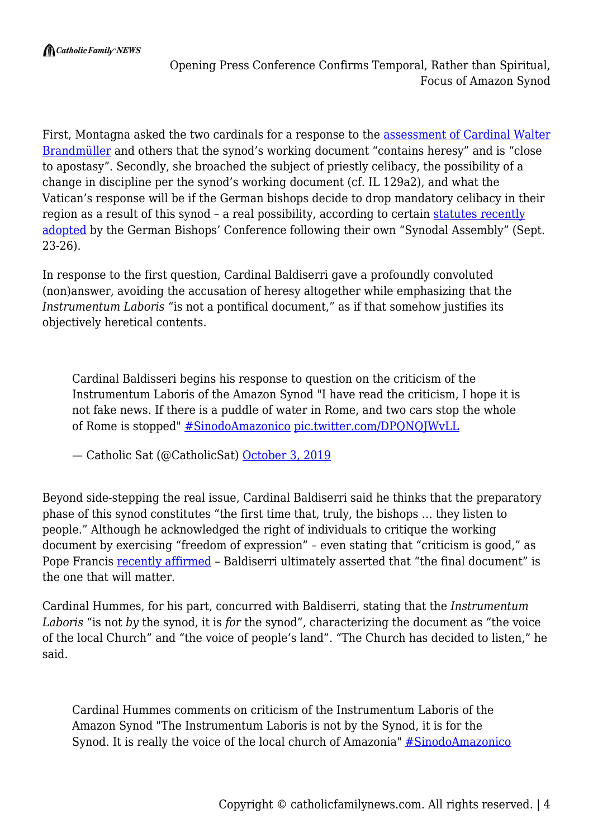First, Montagna asked the two cardinals for a response to the [assessment of Cardinal Walter](https://www.lifesitenews.com/news/cardinal-critiques-amazon-synod-working-doc-as-heretical...apostasy-urges-bishops-to-reject-it) [Brandmüller](https://www.lifesitenews.com/news/cardinal-critiques-amazon-synod-working-doc-as-heretical...apostasy-urges-bishops-to-reject-it) and others that the synod's working document "contains heresy" and is "close to apostasy". Secondly, she broached the subject of priestly celibacy, the possibility of a change in discipline per the synod's working document (cf. IL 129a2), and what the Vatican's response will be if the German bishops decide to drop mandatory celibacy in their region as a result of this synod – a real possibility, according to certain [statutes recently](https://www.catholicnewsagency.com/news/german-bishops-vote-to-adopt-statutes-for-synodal-assembly-50996) [adopted](https://www.catholicnewsagency.com/news/german-bishops-vote-to-adopt-statutes-for-synodal-assembly-50996) by the German Bishops' Conference following their own "Synodal Assembly" (Sept. 23-26).

In response to the first question, Cardinal Baldiserri gave a profoundly convoluted (non)answer, avoiding the accusation of heresy altogether while emphasizing that the *Instrumentum Laboris* "is not a pontifical document," as if that somehow justifies its objectively heretical contents.

Cardinal Baldisseri begins his response to question on the criticism of the Instrumentum Laboris of the Amazon Synod "I have read the criticism, I hope it is not fake news. If there is a puddle of water in Rome, and two cars stop the whole of Rome is stopped" [#SinodoAmazonico](https://twitter.com/hashtag/SinodoAmazonico?src=hash&ref_src=twsrc%5Etfw) [pic.twitter.com/DPQNQJWvLL](https://t.co/DPQNQJWvLL)

— Catholic Sat (@CatholicSat) [October 3, 2019](https://twitter.com/CatholicSat/status/1179716690810146816?ref_src=twsrc%5Etfw)

Beyond side-stepping the real issue, Cardinal Baldiserri said he thinks that the preparatory phase of this synod constitutes "the first time that, truly, the bishops … they listen to people." Although he acknowledged the right of individuals to critique the working document by exercising "freedom of expression" – even stating that "criticism is good," as Pope Francis [recently affirmed](https://www.vaticannews.va/en/pope/news/2019-09/pope-francis-inflight-press-conference-full-text.html) – Baldiserri ultimately asserted that "the final document" is the one that will matter.

Cardinal Hummes, for his part, concurred with Baldiserri, stating that the *Instrumentum Laboris* "is not *by* the synod, it is *for* the synod", characterizing the document as "the voice of the local Church" and "the voice of people's land". "The Church has decided to listen," he said.

Cardinal Hummes comments on criticism of the Instrumentum Laboris of the Amazon Synod "The Instrumentum Laboris is not by the Synod, it is for the Synod. It is really the voice of the local church of Amazonia" [#SinodoAmazonico](https://twitter.com/hashtag/SinodoAmazonico?src=hash&ref_src=twsrc%5Etfw)